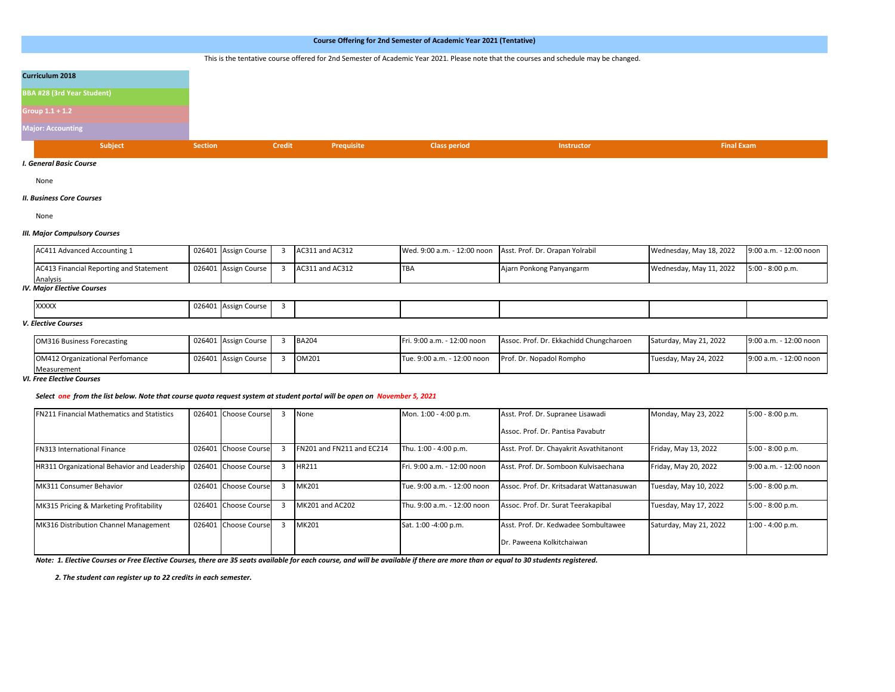# This is the tentative course offered for 2nd Semester of Academic Year 2021. Please note that the courses and schedule may be changed.

| <b>Curriculum 2018</b>            |
|-----------------------------------|
| <b>BBA #28 (3rd Year Student)</b> |
| Group 1.1 + 1.2                   |
| <b>Major: Accounting</b>          |
| Subject                           |

#### *I. General Basic Course*

None

### *II. Business Core Courses*

None

### *III. Major Compulsory Courses*

| <b>AC411 Advanced Accounting 1</b>      | 026401 Assign Course | AC311 and AC312 |            | Wed. 9:00 a.m. - 12:00 noon Asst. Prof. Dr. Orapan Yolrabil | Wednesday, May 18, 2022 | 9:00 a.m. - 12:00 noon |
|-----------------------------------------|----------------------|-----------------|------------|-------------------------------------------------------------|-------------------------|------------------------|
| AC413 Financial Reporting and Statement | 026401 Assign Course | AC311 and AC312 | <b>TBA</b> | Ajarn Ponkong Panyangarm                                    | Wednesday, May 11, 2022 | $5:00 - 8:00 p.m.$     |
| Analysis                                |                      |                 |            |                                                             |                         |                        |

### *IV. Major Elective Courses*

| <b>XXXXX</b> | 025<br>--- | . Assign Course |  |  |  |
|--------------|------------|-----------------|--|--|--|
|              |            |                 |  |  |  |

# *V. Elective Courses*

| <b>OM316 Business Forecasting</b>      | 026401 Assign Course | <b>BA204</b> | Fri. 9:00 a.m. - 12:00 noon | Assoc. Prof. Dr. Ekkachidd Chungcharoen | Saturday, May 21, 2022 | 9:00 a.m. - 12:00 noon |
|----------------------------------------|----------------------|--------------|-----------------------------|-----------------------------------------|------------------------|------------------------|
| <b>OM412 Organizational Perfomance</b> | 026401 Assign Course | OM201        | Tue. 9:00 a.m. - 12:00 noon | Prof. Dr. Nopadol Rompho                | Tuesday, May 24, 2022  | 9:00 a.m. - 12:00 noon |
| Measurement                            |                      |              |                             |                                         |                        |                        |

#### *VI. Free Elective Courses*

#### *Select one from the list below. Note that course quota request system at student portal will be open on November 5, 2021*

| <b>FN211 Financial Mathematics and Statistics</b> |        | 026401 Choose Course | None                      | Mon. 1:00 - 4:00 p.m.       | Asst. Prof. Dr. Supranee Lisawadi         | Monday, May 23, 2022   | $5:00 - 8:00 p.m.$     |
|---------------------------------------------------|--------|----------------------|---------------------------|-----------------------------|-------------------------------------------|------------------------|------------------------|
|                                                   |        |                      |                           |                             | Assoc. Prof. Dr. Pantisa Pavabutr         |                        |                        |
| <b>FN313 International Finance</b>                |        | 026401 Choose Course | FN201 and FN211 and EC214 | Thu. 1:00 - 4:00 p.m.       | Asst. Prof. Dr. Chayakrit Asvathitanont   | Friday, May 13, 2022   | $5:00 - 8:00 p.m.$     |
| HR311 Organizational Behavior and Leadership      | 026401 | L Choose Course      | HR211                     | Fri. 9:00 a.m. - 12:00 noon | Asst. Prof. Dr. Somboon Kulvisaechana     | Friday, May 20, 2022   | 9:00 a.m. - 12:00 noon |
| MK311 Consumer Behavior                           |        | 026401 Choose Course | <b>MK201</b>              | Tue. 9:00 a.m. - 12:00 noon | Assoc. Prof. Dr. Kritsadarat Wattanasuwan | Tuesday, May 10, 2022  | 5:00 - 8:00 p.m.       |
| MK315 Pricing & Marketing Profitability           |        | 026401 Choose Course | MK201 and AC202           | Thu. 9:00 a.m. - 12:00 noon | Assoc. Prof. Dr. Surat Teerakapibal       | Tuesday, May 17, 2022  | 5:00 - 8:00 p.m.       |
| MK316 Distribution Channel Management             |        | 026401 Choose Course | <b>MK201</b>              | Sat. 1:00 -4:00 p.m.        | Asst. Prof. Dr. Kedwadee Sombultawee      | Saturday, May 21, 2022 | $1:00 - 4:00 p.m.$     |
|                                                   |        |                      |                           |                             | Dr. Paweena Kolkitchaiwan                 |                        |                        |

*Note: 1. Elective Courses or Free Elective Courses, there are 35 seats available for each course, and will be available if there are more than or equal to 30 students registered.*

 *2. The student can register up to 22 credits in each semester.*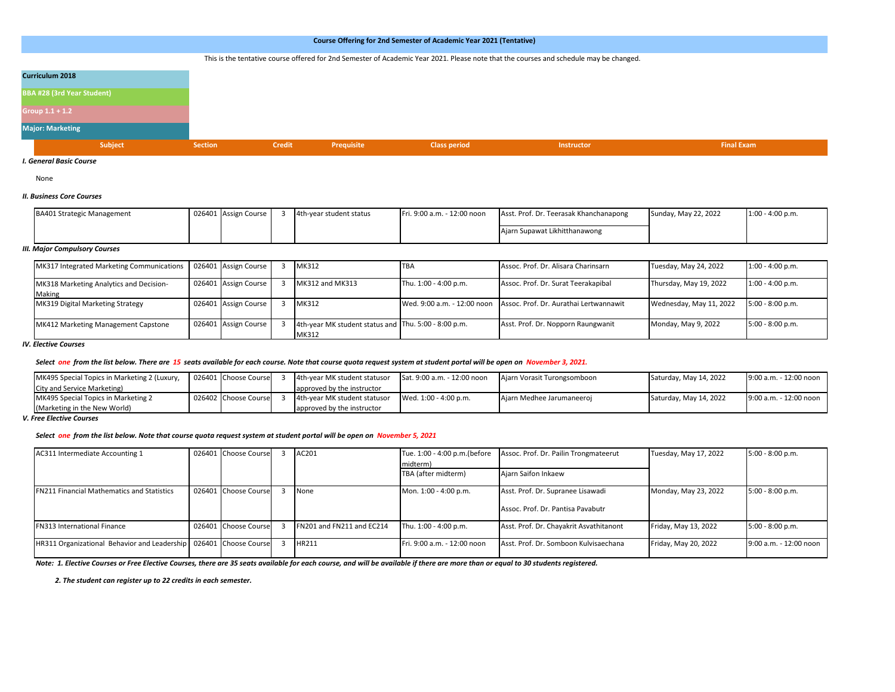# This is the tentative course offered for 2nd Semester of Academic Year 2021. Please note that the courses and schedule may be changed.

| Curriculum 2018            |                |        |            |                     |                   |                   |
|----------------------------|----------------|--------|------------|---------------------|-------------------|-------------------|
| BBA #28 (3rd Year Student) |                |        |            |                     |                   |                   |
| Group 1.1 + 1.2            |                |        |            |                     |                   |                   |
| <b>Major: Marketing</b>    |                |        |            |                     |                   |                   |
| Subject                    | <b>Section</b> | Credit | Prequisite | <b>Class period</b> | <b>Instructor</b> | <b>Final Exam</b> |

### *I. General Basic Course*

None

#### *II. Business Core Courses*

| <b>BA401 Strategic Management</b> | 026401 Assign Course | 4th-year student status | Fri. 9:00 a.m. - 12:00 noon | Asst. Prof. Dr. Teerasak Khanchanapong | Sunday, May 22, 2022 | $1:00 - 4:00$ p.m. |
|-----------------------------------|----------------------|-------------------------|-----------------------------|----------------------------------------|----------------------|--------------------|
|                                   |                      |                         |                             | Ajarn Supawat Likhitthanawong          |                      |                    |

#### *III. Major Compulsory Courses*

| MK317 Integrated Marketing Communications         | 026401 Assign Course | MK312                                                         | <b>TBA</b>            | Assoc. Prof. Dr. Alisara Charinsarn                                | Tuesday, May 24, 2022   | $1:00 - 4:00 p.m.$ |
|---------------------------------------------------|----------------------|---------------------------------------------------------------|-----------------------|--------------------------------------------------------------------|-------------------------|--------------------|
| MK318 Marketing Analytics and Decision-<br>Making | 026401 Assign Course | MK312 and MK313                                               | Thu. 1:00 - 4:00 p.m. | Assoc. Prof. Dr. Surat Teerakapibal                                | Thursday, May 19, 2022  | $1:00 - 4:00 p.m.$ |
| MK319 Digital Marketing Strategy                  | 026401 Assign Course | MK312                                                         |                       | Wed. 9:00 a.m. - 12:00 noon Assoc. Prof. Dr. Aurathai Lertwannawit | Wednesday, May 11, 2022 | $5:00 - 8:00 p.m.$ |
| MK412 Marketing Management Capstone               | 026401 Assign Course | 4th-year MK student status and Thu. 5:00 - 8:00 p.m.<br>MK312 |                       | Asst. Prof. Dr. Nopporn Raungwanit                                 | Monday, May 9, 2022     | $5:00 - 8:00 p.m.$ |

*IV. Elective Courses* 

#### *Select one from the list below. There are 15 seats available for each course. Note that course quota request system at student portal will be open on November 3, 2021.*

| MK495 Special Topics in Marketing 2 (Luxury, | 026401 Choose Course | 4th-year MK student statusor | Sat. 9:00 a.m. - 12:00 noon | Ajarn Vorasit Turongsomboon | Saturday, May 14, 2022 | 9:00 a.m. - 12:00 noon |
|----------------------------------------------|----------------------|------------------------------|-----------------------------|-----------------------------|------------------------|------------------------|
| City and Service Marketing)                  |                      | approved by the instructor   |                             |                             |                        |                        |
| MK495 Special Topics in Marketing 2          | 026402 Choose Course | 4th-year MK student statusor | Wed. 1:00 - 4:00 p.m.       | Ajarn Medhee Jarumaneeroj   | Saturday, May 14, 2022 | 9:00 a.m. - 12:00 noon |
| (Marketing in the New World)                 |                      | approved by the instructor   |                             |                             |                        |                        |

*V. Free Elective Courses* 

#### *Select one from the list below. Note that course quota request system at student portal will be open on November 5, 2021*

| AC311 Intermediate Accounting 1                                   | 026401 Choose Course | AC201                     | Tue. 1:00 - 4:00 p.m.(before<br>midterm) | Assoc. Prof. Dr. Pailin Trongmateerut                                  | Tuesday, May 17, 2022 | $5:00 - 8:00 p.m.$     |
|-------------------------------------------------------------------|----------------------|---------------------------|------------------------------------------|------------------------------------------------------------------------|-----------------------|------------------------|
|                                                                   |                      |                           | TBA (after midterm)                      | Ajarn Saifon Inkaew                                                    |                       |                        |
| <b>FN211 Financial Mathematics and Statistics</b>                 | 026401 Choose Course | None                      | Mon. 1:00 - 4:00 p.m.                    | Asst. Prof. Dr. Supranee Lisawadi<br>Assoc. Prof. Dr. Pantisa Pavabutr | Monday, May 23, 2022  | $5:00 - 8:00 p.m.$     |
| <b>FN313 International Finance</b>                                | 026401 Choose Course | FN201 and FN211 and EC214 | Thu. 1:00 - 4:00 p.m.                    | Asst. Prof. Dr. Chayakrit Asvathitanont                                | Friday, May 13, 2022  | $5:00 - 8:00 p.m.$     |
| HR311 Organizational Behavior and Leadership 026401 Choose Course |                      | HR211                     | Fri. 9:00 a.m. - 12:00 noon              | Asst. Prof. Dr. Somboon Kulvisaechana                                  | Friday, May 20, 2022  | 9:00 a.m. - 12:00 noon |

*Note: 1. Elective Courses or Free Elective Courses, there are 35 seats available for each course, and will be available if there are more than or equal to 30 students registered.*

 *2. The student can register up to 22 credits in each semester.*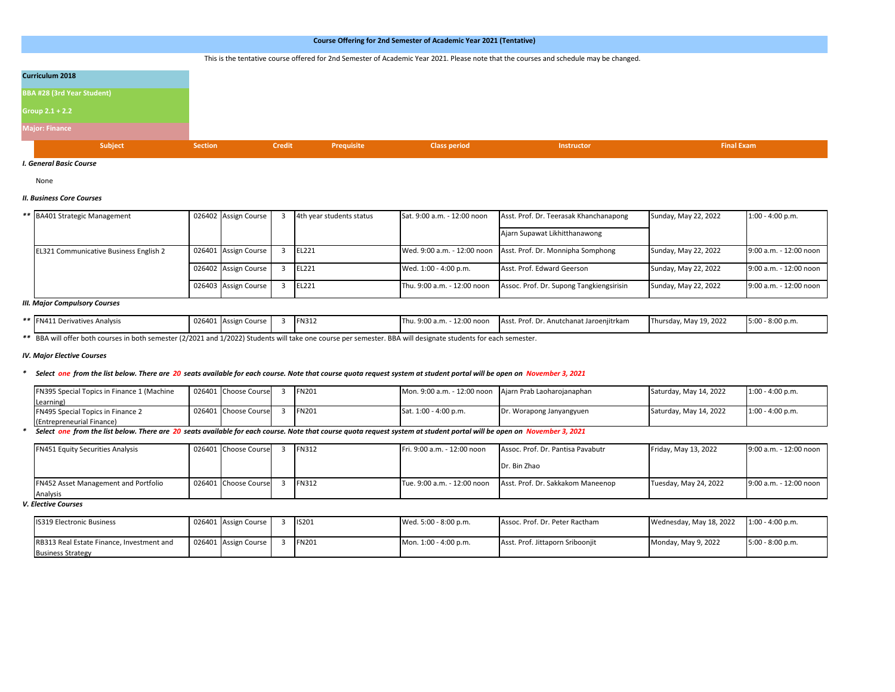# This is the tentative course offered for 2nd Semester of Academic Year 2021. Please note that the courses and schedule may be changed.

| Curriculum 2018                   |                |        |            |                     |                   |                   |
|-----------------------------------|----------------|--------|------------|---------------------|-------------------|-------------------|
| <b>BBA #28 (3rd Year Student)</b> |                |        |            |                     |                   |                   |
| Group 2.1 + 2.2                   |                |        |            |                     |                   |                   |
| <b>Major: Finance</b>             |                |        |            |                     |                   |                   |
| Subject                           | <b>Section</b> | Credit | Prequisite | <b>Class period</b> | <b>Instructor</b> | <b>Final Exam</b> |

#### *I. General Basic Course*

None

# *II. Business Core Courses*

| ** BA401 Strategic Management                 | 026402 Assign Course | 4th year students status | Sat. 9:00 a.m. - 12:00 noon | Asst. Prof. Dr. Teerasak Khanchanapong                        | Sunday, May 22, 2022 | $1:00 - 4:00 p.m.$     |
|-----------------------------------------------|----------------------|--------------------------|-----------------------------|---------------------------------------------------------------|----------------------|------------------------|
|                                               |                      |                          |                             | Ajarn Supawat Likhitthanawong                                 |                      |                        |
| <b>EL321 Communicative Business English 2</b> | 026401 Assign Course | EL221                    |                             | Wed. 9:00 a.m. - 12:00 noon Asst. Prof. Dr. Monnipha Somphong | Sunday, May 22, 2022 | 9:00 a.m. - 12:00 noon |
|                                               | 026402 Assign Course | EL221                    | Wed. 1:00 - 4:00 p.m.       | Asst. Prof. Edward Geerson                                    | Sunday, May 22, 2022 | 9:00 a.m. - 12:00 noon |
|                                               | 026403 Assign Course | EL221                    | Thu. 9:00 a.m. - 12:00 noon | Assoc. Prof. Dr. Supong Tangkiengsirisin                      | Sunday, May 22, 2022 | 9:00 a.m. - 12:00 noon |

#### *III. Major Compulsory Courses*

| ** FN411 Derivauv.<br>vatives Analysis | 026401 Assign Course | <b>FN312</b> | 12:00 noon<br>Thu. 9:00 a.m. | $\sim$ $\sim$<br>Asst. Prof. Dr. Anutchanat Jaroenjitrkam | Thursday, May 19, 2022 | $5:00 - 8:00 p.m.$ |
|----------------------------------------|----------------------|--------------|------------------------------|-----------------------------------------------------------|------------------------|--------------------|

*\*\** BBA will offer both courses in both semester (2/2021 and 1/2022) Students will take one course per semester. BBA will designate students for each semester.

# *IV. Major Elective Courses*

#### *\* Select one from the list below. There are 20 seats available for each course. Note that course quota request system at student portal will be open on November 3, 2021*

| FN395 Special Topics in Finance 1 (Machine | 026401 Choose Course | <b>FN201</b> | Mon. 9:00 a.m. - 12:00 noon Aiarn Prab Laoharoianaphan |                          | Saturday, May 14, 2022 | $1:00 - 4:00$ p.m. |
|--------------------------------------------|----------------------|--------------|--------------------------------------------------------|--------------------------|------------------------|--------------------|
| Learning                                   |                      |              |                                                        |                          |                        |                    |
| FN495 Special Topics in Finance 2          | 026401 Choose Course | <b>FN201</b> | Sat. 1:00 - 4:00 p.m.                                  | Dr. Worapong Janyangyuen | Saturday, May 14, 2022 | $1:00 - 4:00 p.m.$ |
| (Entrepreneurial Finance)                  |                      |              |                                                        |                          |                        |                    |

### *\* Select one from the list below. There are 20 seats available for each course. Note that course quota request system at student portal will be open on November 3, 2021*

| <b>FN451 Equity Securities Analysis</b>                 | 026401 Choose Course | <b>FN312</b> | Fri. 9:00 a.m. - 12:00 noon | Assoc. Prof. Dr. Pantisa Pavabutr | Friday, May 13, 2022  | 9:00 a.m. - 12:00 noon |
|---------------------------------------------------------|----------------------|--------------|-----------------------------|-----------------------------------|-----------------------|------------------------|
|                                                         |                      |              |                             | Dr. Bin Zhao                      |                       |                        |
| <b>FN452 Asset Management and Portfolio</b><br>Analysis | 026401 Choose Course | <b>FN312</b> | Tue. 9:00 a.m. - 12:00 noon | Asst. Prof. Dr. Sakkakom Maneenop | Tuesday, May 24, 2022 | 9:00 a.m. - 12:00 noon |

# *V. Elective Courses*

| <b>IS319 Electronic Business</b>          | 026401 Assign Course | <b>IS201</b> | Wed. 5:00 - 8:00 p.m. | Assoc. Prof. Dr. Peter Ractham   | Wednesday, May 18, 2022 | $1:00 - 4:00 p.m.$ |
|-------------------------------------------|----------------------|--------------|-----------------------|----------------------------------|-------------------------|--------------------|
| RB313 Real Estate Finance. Investment and | 026401 Assign Course | <b>FN201</b> | Mon. 1:00 - 4:00 p.m. | Asst. Prof. Jittaporn Sribooniit | Monday, May 9, 2022     | $5:00 - 8:00 p.m.$ |
| <b>Business Strategy</b>                  |                      |              |                       |                                  |                         |                    |